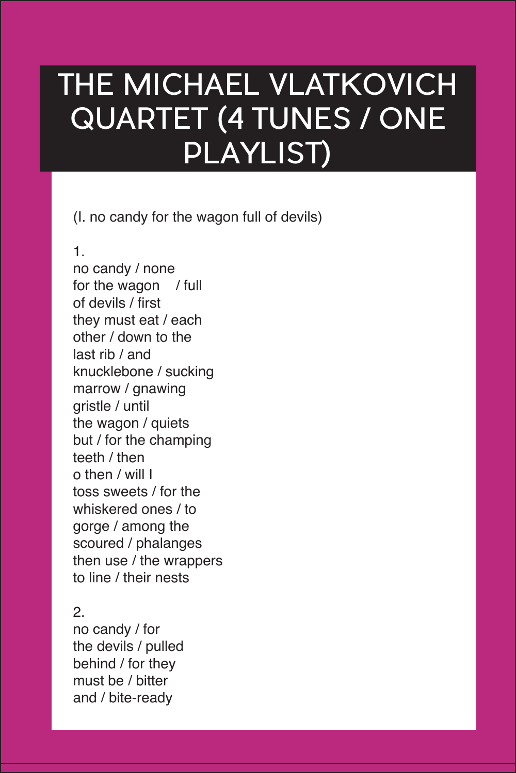## THE MICHAEL VLATKOVICH QUARTET (4 TUNES / ONE PLAYLIST)

(I. no candy for the wagon full of devils)

1.

no candy / none for the wagon / full of devils / first they must eat / each other / down to the last rib / and knucklebone / sucking marrow / gnawing gristle / until the wagon / quiets but / for the champing teeth / then o then / will I toss sweets / for the whiskered ones / to gorge / among the scoured / phalanges then use / the wrappers to line / their nests

## 2.

no candy / for the devils / pulled behind / for they must be / bitter and / bite-ready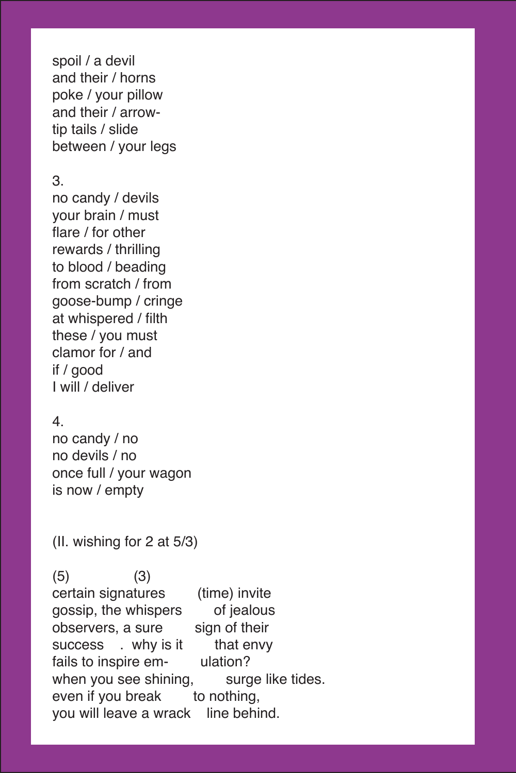spoil / a devil and their / horns poke / your pillow and their / arrowtip tails / slide between / your legs

## 3.

no candy / devils your brain / must flare / for other rewards / thrilling to blood / beading from scratch / from goose-bump / cringe at whispered / filth these / you must clamor for / and if / good I will / deliver

## 4.

no candy / no no devils / no once full / your wagon is now / empty

(II. wishing for 2 at 5/3)

 $(5)$   $(3)$ certain signatures (time) invite gossip, the whispers of jealous observers, a sure sign of their success . why is it that envy fails to inspire em-<br>when you see shining, surge like tides. when you see shining, even if you break to nothing, you will leave a wrack line behind.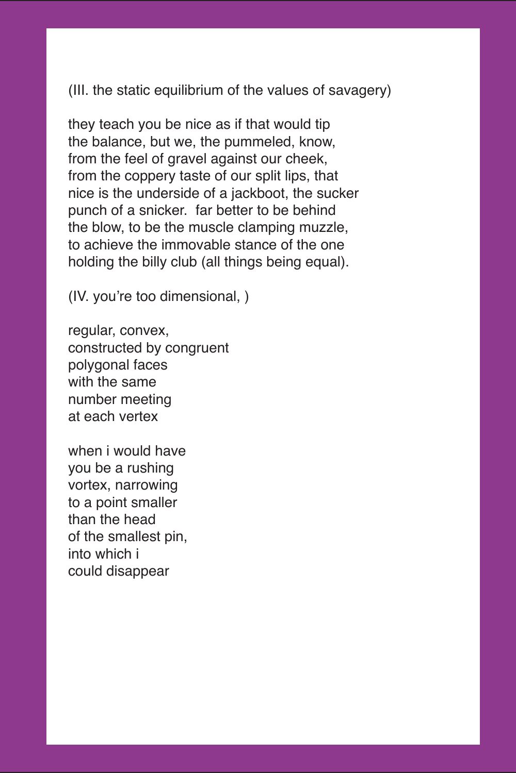(III. the static equilibrium of the values of savagery)

they teach you be nice as if that would tip the balance, but we, the pummeled, know, from the feel of gravel against our cheek, from the coppery taste of our split lips, that nice is the underside of a jackboot, the sucker punch of a snicker. far better to be behind the blow, to be the muscle clamping muzzle, to achieve the immovable stance of the one holding the billy club (all things being equal).

(IV. you're too dimensional, )

regular, convex, constructed by congruent polygonal faces with the same number meeting at each vertex

when i would have you be a rushing vortex, narrowing to a point smaller than the head of the smallest pin, into which i could disappear